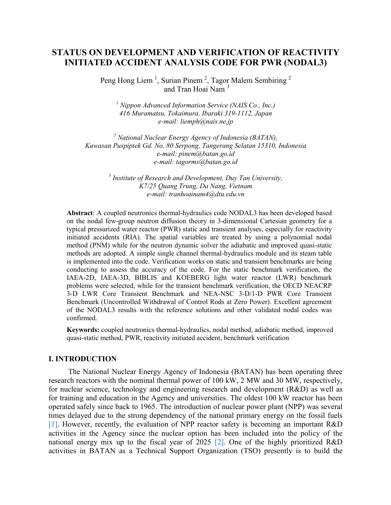# **STATUS ON DEVELOPMENT AND VERIFICATION OF REACTIVITY INITIATED ACCIDENT ANALYSIS CODE FOR PWR (NODAL3)**

Peng Hong Liem<sup>1</sup>, Surian Pinem<sup>2</sup>, Tagor Malem Sembiring<sup>2</sup> and Tran Hoai Nam<sup>3</sup>

*<sup>1</sup> Nippon Advanced Information Service (NAIS Co., Inc.) 416 Muramatsu, Tokaimura, Ibaraki 319-1112, Japan e-mail: [liemph@nais.ne.jp](mailto:%20liemph@nais.ne.jp)*

*<sup>2</sup> National Nuclear Energy Agency of Indonesia (BATAN), Kawasan Puspiptek Gd. No. 80 Serpong, Tangerang Selatan 15310, Indonesia e-mail: pinem@batan.go.id e-mail: [tagorms@batan.go.id](mailto:tagorms@batan.go.id)*

> *3 Institute of Research and Development, Duy Tan University, K7/25 Quang Trung, Da Nang, Vietnam e-mail: tranhoainam4@dtu.edu.vn*

**Abstract**: A coupled neutronics thermal-hydraulics code NODAL3 has been developed based on the nodal few-group neutron diffusion theory in 3-dimensional Cartesian geometry for a typical pressurized water reactor (PWR) static and transient analyses, especially for reactivity initiated accidents (RIA). The spatial variables are treated by using a polynomial nodal method (PNM) while for the neutron dynamic solver the adiabatic and improved quasi-static methods are adopted. A simple single channel thermal-hydraulics module and its steam table is implemented into the code. Verification works on static and transient benchmarks are being conducting to assess the accuracy of the code. For the static benchmark verification, the IAEA-2D, IAEA-3D, BIBLIS and KOEBERG light water reactor (LWR) benchmark problems were selected, while for the transient benchmark verification, the OECD NEACRP 3-D LWR Core Transient Benchmark and NEA-NSC 3-D/1-D PWR Core Transient Benchmark (Uncontrolled Withdrawal of Control Rods at Zero Power). Excellent agreement of the NODAL3 results with the reference solutions and other validated nodal codes was confirmed.

**Keywords:** coupled neutronics thermal-hydraulics, nodal method, adiabatic method, improved quasi-static method, PWR, reactivity initiated accident, benchmark verification

### **I. INTRODUCTION**

The National Nuclear Energy Agency of Indonesia (BATAN) has been operating three research reactors with the nominal thermal power of 100 kW, 2 MW and 30 MW, respectively, for nuclear science, technology and engineering research and development (R&D) as well as for training and education in the Agency and universities. The oldest 100 kW reactor has been operated safely since back to 1965. The introduction of nuclear power plant (NPP) was several times delayed due to the strong dependency of the national primary energy on the fossil fuels [1]. However, recently, the evaluation of NPP reactor safety is becoming an important R&D activities in the Agency since the nuclear option has been included into the policy of the national energy mix up to the fiscal year of 2025 [2]. One of the highly prioritized R&D activities in BATAN as a Technical Support Organization (TSO) presently is to build the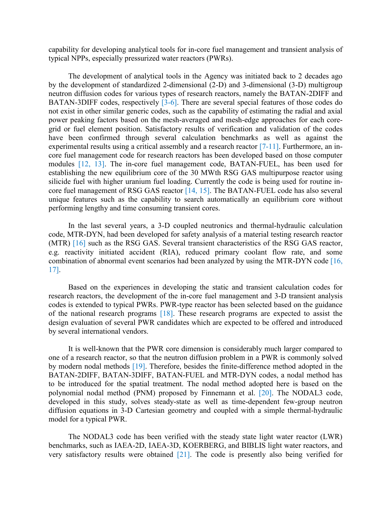capability for developing analytical tools for in-core fuel management and transient analysis of typical NPPs, especially pressurized water reactors (PWRs).

The development of analytical tools in the Agency was initiated back to 2 decades ago by the development of standardized 2-dimensional (2-D) and 3-dimensional (3-D) multigroup neutron diffusion codes for various types of research reactors, namely the BATAN-2DIFF and BATAN-3DIFF codes, respectively [3-6]. There are several special features of those codes do not exist in other similar generic codes, such as the capability of estimating the radial and axial power peaking factors based on the mesh-averaged and mesh-edge approaches for each coregrid or fuel element position. Satisfactory results of verification and validation of the codes have been confirmed through several calculation benchmarks as well as against the experimental results using a critical assembly and a research reactor [7-11]. Furthermore, an incore fuel management code for research reactors has been developed based on those computer modules [12, 13]. The in-core fuel management code, BATAN-FUEL, has been used for establishing the new equilibrium core of the 30 MWth RSG GAS multipurpose reactor using silicide fuel with higher uranium fuel loading. Currently the code is being used for routine incore fuel management of RSG GAS reactor [14, 15]. The BATAN-FUEL code has also several unique features such as the capability to search automatically an equilibrium core without performing lengthy and time consuming transient cores.

In the last several years, a 3-D coupled neutronics and thermal-hydraulic calculation code, MTR-DYN, had been developed for safety analysis of a material testing research reactor (MTR) [16] such as the RSG GAS. Several transient characteristics of the RSG GAS reactor, e.g. reactivity initiated accident (RIA), reduced primary coolant flow rate, and some combination of abnormal event scenarios had been analyzed by using the MTR-DYN code [16, 17].

Based on the experiences in developing the static and transient calculation codes for research reactors, the development of the in-core fuel management and 3-D transient analysis codes is extended to typical PWRs. PWR-type reactor has been selected based on the guidance of the national research programs [18]. These research programs are expected to assist the design evaluation of several PWR candidates which are expected to be offered and introduced by several international vendors.

It is well-known that the PWR core dimension is considerably much larger compared to one of a research reactor, so that the neutron diffusion problem in a PWR is commonly solved by modern nodal methods [19]. Therefore, besides the finite-difference method adopted in the BATAN-2DIFF, BATAN-3DIFF, BATAN-FUEL and MTR-DYN codes, a nodal method has to be introduced for the spatial treatment. The nodal method adopted here is based on the polynomial nodal method (PNM) proposed by Finnemann et al. [20]. The NODAL3 code, developed in this study, solves steady-state as well as time-dependent few-group neutron diffusion equations in 3-D Cartesian geometry and coupled with a simple thermal-hydraulic model for a typical PWR.

The NODAL3 code has been verified with the steady state light water reactor (LWR) benchmarks, such as IAEA-2D, IAEA-3D, KOERBERG, and BIBLIS light water reactors, and very satisfactory results were obtained [21]. The code is presently also being verified for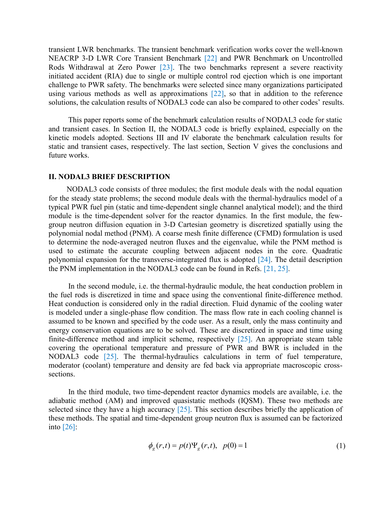transient LWR benchmarks. The transient benchmark verification works cover the well-known NEACRP 3-D LWR Core Transient Benchmark [22] and PWR Benchmark on Uncontrolled Rods Withdrawal at Zero Power [23]. The two benchmarks represent a severe reactivity initiated accident (RIA) due to single or multiple control rod ejection which is one important challenge to PWR safety. The benchmarks were selected since many organizations participated using various methods as well as approximations [22], so that in addition to the reference solutions, the calculation results of NODAL3 code can also be compared to other codes' results.

This paper reports some of the benchmark calculation results of NODAL3 code for static and transient cases. In Section II, the NODAL3 code is briefly explained, especially on the kinetic models adopted. Sections III and IV elaborate the benchmark calculation results for static and transient cases, respectively. The last section, Section V gives the conclusions and future works.

#### **II. NODAL3 BRIEF DESCRIPTION**

NODAL3 code consists of three modules; the first module deals with the nodal equation for the steady state problems; the second module deals with the thermal-hydraulics model of a typical PWR fuel pin (static and time-dependent single channel analytical model); and the third module is the time-dependent solver for the reactor dynamics. In the first module, the fewgroup neutron diffusion equation in 3-D Cartesian geometry is discretized spatially using the polynomial nodal method (PNM). A coarse mesh finite difference (CFMD) formulation is used to determine the node-averaged neutron fluxes and the eigenvalue, while the PNM method is used to estimate the accurate coupling between adjacent nodes in the core. Quadratic polynomial expansion for the transverse-integrated flux is adopted [24]. The detail description the PNM implementation in the NODAL3 code can be found in Refs. [21, 25].

In the second module, i.e. the thermal-hydraulic module, the heat conduction problem in the fuel rods is discretized in time and space using the conventional finite-difference method. Heat conduction is considered only in the radial direction. Fluid dynamic of the cooling water is modeled under a single-phase flow condition. The mass flow rate in each cooling channel is assumed to be known and specified by the code user. As a result, only the mass continuity and energy conservation equations are to be solved. These are discretized in space and time using finite-difference method and implicit scheme, respectively [25]. An appropriate steam table covering the operational temperature and pressure of PWR and BWR is included in the NODAL3 code [25]. The thermal-hydraulics calculations in term of fuel temperature, moderator (coolant) temperature and density are fed back via appropriate macroscopic crosssections.

In the third module, two time-dependent reactor dynamics models are available, i.e. the adiabatic method (AM) and improved quasistatic methods (IQSM). These two methods are selected since they have a high accuracy [25]. This section describes briefly the application of these methods. The spatial and time-dependent group neutron flux is assumed can be factorized into  $\lceil 26 \rceil$ :

$$
\phi_g(r,t) = p(t)\Psi_g(r,t), \ \ p(0) = 1 \tag{1}
$$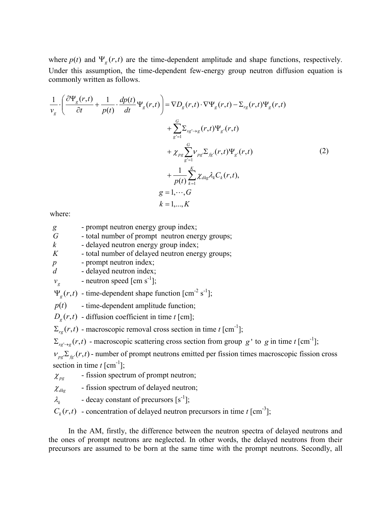where  $p(t)$  and  $\Psi_g(r,t)$  are the time-dependent amplitude and shape functions, respectively. Under this assumption, the time-dependent few-energy group neutron diffusion equation is commonly written as follows.

$$
\frac{1}{v_g} \cdot \left( \frac{\partial \Psi_g(r,t)}{\partial t} + \frac{1}{p(t)} \cdot \frac{dp(t)}{dt} \Psi_g(r,t) \right) = \nabla D_g(r,t) \cdot \nabla \Psi_g(r,t) - \Sigma_{rg}(r,t) \Psi_g(r,t) \n+ \sum_{g'=1}^G \Sigma_{sg \to g}(r,t) \Psi_g(r,t) \n+ \chi_{pg} \sum_{g'=1}^G \nu_{pg} \Sigma_{fg}(r,t) \Psi_g(r,t) \n+ \frac{1}{p(t)} \sum_{k=1}^K \chi_{dkg} \lambda_k C_k(r,t), \ng = 1, \cdots, G
$$
\n(2)

where:

| g | - prompt neutron energy group index; |  |
|---|--------------------------------------|--|
|   |                                      |  |
|   |                                      |  |

*G* - total number of prompt neutron energy groups;

*k* - delayed neutron energy group index;

*K* - total number of delayed neutron energy groups;

*p* - prompt neutron index;

*d* - delayed neutron index;

$$
v_g
$$
 - neutron speed [cm s<sup>-1</sup>];

 $\Psi_g(r,t)$  - time-dependent shape function [cm<sup>-2</sup> s<sup>-1</sup>];

 $p(t)$  - time-dependent amplitude function;

 $D_g(r,t)$  - diffusion coefficient in time *t* [cm];

 $\Sigma_{rg}(r,t)$  - macroscopic removal cross section in time *t* [cm<sup>-1</sup>];

 $\sum_{sg' \to g}(r, t)$  - macroscopic scattering cross section from group g' to g in time t [cm<sup>-1</sup>];

 $v_{ps} \Sigma_{fs}(r,t)$  - number of prompt neutrons emitted per fission times macroscopic fission cross section in time  $t$  [cm<sup>-1</sup>];

- $\chi_{pgg}$ - fission spectrum of prompt neutron;
- $\chi_{dkg}$ - fission spectrum of delayed neutron;
- $\lambda_{\iota}$ - decay constant of precursors  $[s^{-1}]$ ;

 $C_k(r,t)$  - concentration of delayed neutron precursors in time *t* [cm<sup>-3</sup>];

In the AM, firstly, the difference between the neutron spectra of delayed neutrons and the ones of prompt neutrons are neglected. In other words, the delayed neutrons from their precursors are assumed to be born at the same time with the prompt neutrons. Secondly, all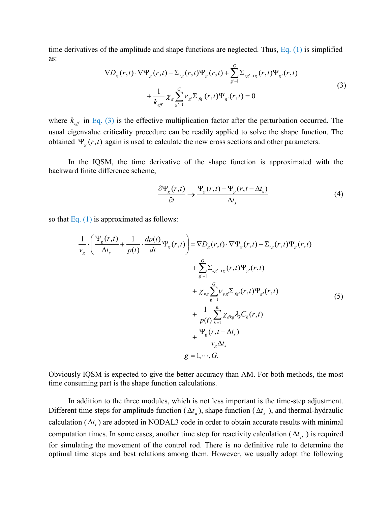time derivatives of the amplitude and shape functions are neglected. Thus, Eq. (1) is simplified as:

$$
\nabla D_g(r,t) \cdot \nabla \Psi_g(r,t) - \Sigma_{rg}(r,t) \Psi_g(r,t) + \sum_{g'=1}^G \Sigma_{sg \to g}(r,t) \Psi_{g'}(r,t) + \frac{1}{k_{eff}} \chi_g \sum_{g'=1}^G \nu_g \Sigma_{fg'}(r,t) \Psi_{g'}(r,t) = 0
$$
\n(3)

where  $k_{\text{eff}}$  in Eq. (3) is the effective multiplication factor after the perturbation occurred. The usual eigenvalue criticality procedure can be readily applied to solve the shape function. The obtained  $\Psi_g(r,t)$  again is used to calculate the new cross sections and other parameters.

In the IQSM, the time derivative of the shape function is approximated with the backward finite difference scheme,

$$
\frac{\partial \Psi_{g}(r,t)}{\partial t} \to \frac{\Psi_{g}(r,t) - \Psi_{g}(r,t - \Delta t_{s})}{\Delta t_{s}}
$$
\n(4)

so that Eq. (1) is approximated as follows:

$$
\frac{1}{v_g} \cdot \left( \frac{\Psi_g(r,t)}{\Delta t_s} + \frac{1}{p(t)} \cdot \frac{dp(t)}{dt} \Psi_g(r,t) \right) = \nabla D_g(r,t) \cdot \nabla \Psi_g(r,t) - \Sigma_{rg}(r,t) \Psi_g(r,t) \n+ \sum_{g'=1}^{G} \Sigma_{sg' \to g}(r,t) \Psi_g(r,t) \n+ \chi_{pg} \sum_{g'=1}^{G} V_{pg} \Sigma_{fg}(r,t) \Psi_g(r,t) \n+ \frac{1}{p(t)} \sum_{k=1}^{K} \chi_{dkg} \lambda_k C_k(r,t) \n+ \frac{\Psi_g(r,t-\Delta t_s)}{v_g \Delta t_s} \ng = 1, \cdots, G.
$$
\n(5)

Obviously IQSM is expected to give the better accuracy than AM. For both methods, the most time consuming part is the shape function calculations.

In addition to the three modules, which is not less important is the time-step adjustment. Different time steps for amplitude function ( $\Delta t_a$ ), shape function ( $\Delta t_s$ ), and thermal-hydraulic calculation  $(\Delta t_t)$  are adopted in NODAL3 code in order to obtain accurate results with minimal computation times. In some cases, another time step for reactivity calculation  $(\Delta t$ <sub> $\rho$ </sub>) is required for simulating the movement of the control rod. There is no definitive rule to determine the optimal time steps and best relations among them. However, we usually adopt the following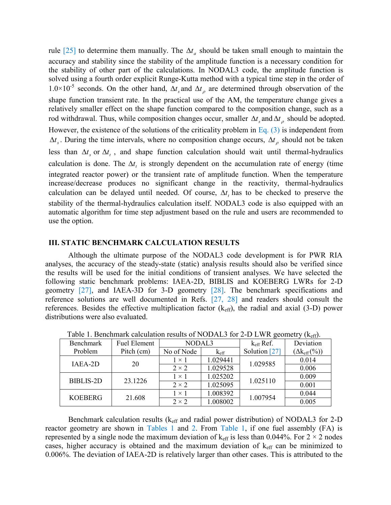rule [25] to determine them manually. The  $\Delta t_a$  should be taken small enough to maintain the accuracy and stability since the stability of the amplitude function is a necessary condition for the stability of other part of the calculations. In NODAL3 code, the amplitude function is solved using a fourth order explicit Runge-Kutta method with a typical time step in the order of 1.0×10<sup>-5</sup> seconds. On the other hand,  $\Delta t$  and  $\Delta t$  are determined through observation of the shape function transient rate. In the practical use of the AM, the temperature change gives a relatively smaller effect on the shape function compared to the composition change, such as a rod withdrawal. Thus, while composition changes occur, smaller  $\Delta t$  and  $\Delta t$  should be adopted. However, the existence of the solutions of the criticality problem in Eq. (3) is independent from  $\Delta t_s$ . During the time intervals, where no composition change occurs,  $\Delta t_\rho$  should not be taken less than  $\Delta t$ <sub>s</sub> or  $\Delta t$ <sub>t</sub>, and shape function calculation should wait until thermal-hydraulics calculation is done. The  $\Delta t$  is strongly dependent on the accumulation rate of energy (time integrated reactor power) or the transient rate of amplitude function. When the temperature increase/decrease produces no significant change in the reactivity, thermal-hydraulics calculation can be delayed until needed. Of course,  $\Delta t$ <sub>t</sub> has to be checked to preserve the stability of the thermal-hydraulics calculation itself. NODAL3 code is also equipped with an automatic algorithm for time step adjustment based on the rule and users are recommended to use the option.

### **III. STATIC BENCHMARK CALCULATION RESULTS**

Although the ultimate purpose of the NODAL3 code development is for PWR RIA analyses, the accuracy of the steady-state (static) analysis results should also be verified since the results will be used for the initial conditions of transient analyses. We have selected the following static benchmark problems: IAEA-2D, BIBLIS and KOEBERG LWRs for 2-D geometry [27], and IAEA-3D for 3-D geometry [28]. The benchmark specifications and reference solutions are well documented in Refs. [27, 28] and readers should consult the references. Besides the effective multiplication factor  $(k<sub>eff</sub>)$ , the radial and axial (3-D) power distributions were also evaluated.

| Benchmark        | <b>Fuel Element</b> | NODAL3                      |          | $k_{\text{eff}}$ Ref. | Deviation              |
|------------------|---------------------|-----------------------------|----------|-----------------------|------------------------|
| Problem          | Pitch (cm)          | No of Node<br>$K_{\rm eff}$ |          | Solution [27]         | $(\Delta k_{eff}(\%))$ |
| IAEA-2D          | 20                  |                             | 1.029441 | 1.029585              | 0.014                  |
|                  |                     | $2 \times 2$                | 1.029528 |                       | 0.006                  |
| <b>BIBLIS-2D</b> | 23.1226             | $1 \times 1$                | 1.025202 | 1.025110              | 0.009                  |
|                  |                     | $2 \times 2$                | 1.025095 |                       | 0.001                  |
| <b>KOEBERG</b>   |                     | $1 \times 1$                | 1.008392 | 1.007954              | 0.044                  |
|                  | 21.608              | $2 \times 2$                | 1.008002 |                       | 0.005                  |

Table 1. Benchmark calculation results of NODAL3 for 2-D LWR geometry  $(k_{\text{eff}})$ .

Benchmark calculation results ( $k_{\text{eff}}$  and radial power distribution) of NODAL3 for 2-D reactor geometry are shown in Tables 1 and 2. From Table 1, if one fuel assembly (FA) is represented by a single node the maximum deviation of  $k_{\text{eff}}$  is less than 0.044%. For 2  $\times$  2 nodes cases, higher accuracy is obtained and the maximum deviation of  $k<sub>eff</sub>$  can be minimized to 0.006%. The deviation of IAEA-2D is relatively larger than other cases. This is attributed to the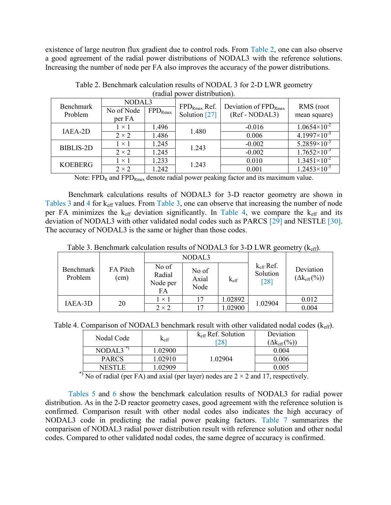existence of large neutron flux gradient due to control rods. From Table 2, one can also observe a good agreement of the radial power distributions of NODAL3 with the reference solutions. Increasing the number of node per FA also improves the accuracy of the power distributions.

| 100101               |                                |              |                                    |                                             |                           |  |
|----------------------|--------------------------------|--------------|------------------------------------|---------------------------------------------|---------------------------|--|
| Benchmark<br>Problem | NODAL3<br>No of Node<br>per FA | $FPD_{Rmax}$ | $FPD_{Rmax}$ Ref.<br>Solution [27] | Deviation of $FPD_{Rmax}$<br>(Ref - NODAL3) | RMS (root<br>mean square) |  |
| IAEA-2D              | $1 \times 1$                   | 1.496        | 1.480                              | $-0.016$                                    | $1.0654\times10^{-2}$     |  |
|                      | $2 \times 2$                   | 1.486        |                                    | 0.006                                       | $4.1997\times10^{-3}$     |  |
| <b>BIBLIS-2D</b>     | $1 \times 1$                   | 1.245        | 1.243                              | $-0.002$                                    | $5.2859\times10^{-3}$     |  |
|                      | $2 \times 2$                   | 1.245        |                                    | $-0.002$                                    | $1.7652\times10^{-3}$     |  |
| <b>KOEBERG</b>       | $1 \times 1$                   | 1.233        |                                    | 0.010                                       | $1.3451\times10^{-2}$     |  |
|                      | $2 \times 2$                   | 1.242        | 1.243                              | 0.001                                       | $1.2453\times10^{-3}$     |  |

Table 2. Benchmark calculation results of NODAL 3 for 2-D LWR geometry (radial power distribution).

Note:  $FPD_R$  and  $FPD_{Rmax}$  denote radial power peaking factor and its maximum value.

Benchmark calculations results of NODAL3 for 3-D reactor geometry are shown in Tables 3 and 4 for keff values. From Table 3, one can observe that increasing the number of node per FA minimizes the  $k<sub>eff</sub>$  deviation significantly. In Table 4, we compare the  $k<sub>eff</sub>$  and its deviation of NODAL3 with other validated nodal codes such as PARCS [29] and NESTLE [30]. The accuracy of NODAL3 is the same or higher than those codes.

Table 3. Benchmark calculation results of NODAL3 for 3-D LWR geometry  $(k_{\text{eff}})$ .

|                             |                  |                                   | NODAL3                 |                  |                                           |                                         |
|-----------------------------|------------------|-----------------------------------|------------------------|------------------|-------------------------------------------|-----------------------------------------|
| <b>Benchmark</b><br>Problem | FA Pitch<br>(cm) | No of<br>Radial<br>Node per<br>FA | No of<br>Axial<br>Node | $k_{\text{eff}}$ | $k_{\text{eff}}$ Ref.<br>Solution<br>[28] | Deviation<br>$(\Delta k_{\rm eff}(\%))$ |
| IAEA-3D                     |                  | $1 \times 1$                      | 17                     | 1.02892          | 1.02904                                   | 0.012                                   |
|                             | 20               | $2 \times 2$                      |                        | 1.02900          |                                           | 0.004                                   |

Table 4. Comparison of NODAL3 benchmark result with other validated nodal codes  $(k_{\text{eff}})$ .

| Nodal Code    |               | $k_{\text{eff}}$ Ref. Solution | Deviation              |
|---------------|---------------|--------------------------------|------------------------|
|               | $K_{\rm eff}$ | [28]                           | $(\Delta k_{eff}(\%))$ |
| NODAL3        | 1.02900       |                                | 0 004                  |
| <b>PARCS</b>  | .02910        | 1.02904                        | 0.006                  |
| <b>NESTLE</b> | .02909        |                                | 0.005                  |

 $*$ ) No of radial (per FA) and axial (per layer) nodes are  $2 \times 2$  and 17, respectively.

Tables 5 and 6 show the benchmark calculation results of NODAL3 for radial power distribution. As in the 2-D reactor geometry cases, good agreement with the reference solution is confirmed. Comparison result with other nodal codes also indicates the high accuracy of NODAL3 code in predicting the radial power peaking factors. Table 7 summarizes the comparison of NODAL3 radial power distribution result with reference solution and other nodal codes. Compared to other validated nodal codes, the same degree of accuracy is confirmed.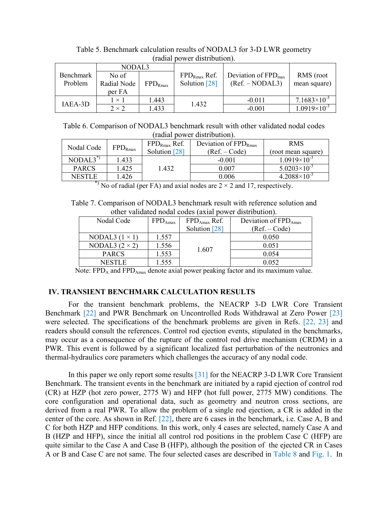|           |              |              | ragiai power gistribution). |                                 |                       |
|-----------|--------------|--------------|-----------------------------|---------------------------------|-----------------------|
|           | NODAL3       |              |                             |                                 |                       |
| Benchmark | No of        |              | $FPD_{\text{Rmax}}$ Ref.    | Deviation of $FPD_{\text{max}}$ | RMS (root             |
| Problem   | Radial Node  | $FPD_{Rmax}$ | Solution [28]               | $(Ref. - NODAL3)$               | mean square)          |
|           | per FA       |              |                             |                                 |                       |
| IAEA-3D   | $1 \times 1$ | 1.443        | 1.432                       | $-0.011$                        | $7.1683\times10^{-3}$ |
|           | $2 \times 2$ | 1.433        |                             | $-0.001$                        | $1.0919\times10^{-3}$ |

Table 5. Benchmark calculation results of NODAL3 for 3-D LWR geometry (radial power distribution).

Table 6. Comparison of NODAL3 benchmark result with other validated nodal codes (radial power distribution).

| Nodal Code             |              | $FPD_{Rmax}$ Ref. | Deviation of $FPD_{Rmax}$ | <b>RMS</b>            |
|------------------------|--------------|-------------------|---------------------------|-----------------------|
|                        | $FPD_{Rmax}$ | Solution [28]     | $(Ref. - Code)$           | (root mean square)    |
| $NODAL3$ <sup>")</sup> | 1.433        |                   | $-0.001$                  | $1.0919\times10^{-3}$ |
| <b>PARCS</b>           | l.425        | 1.432             | 0.007                     | $5.0203\times10^{-3}$ |
| NESTLE                 | l.426        |                   | 0.006                     | $4.2088\times10^{-3}$ |

\*) No of radial (per FA) and axial nodes are  $2 \times 2$  and 17, respectively.

Table 7. Comparison of NODAL3 benchmark result with reference solution and other validated nodal codes (axial power distribution).

| Nodal Code            | $FPD_{\text{Amax}}$ | $FPD_{Amax}$ Ref.<br>Solution [28] | Deviation of $FPD_{Amax}$<br>$(Ref. - Code)$ |
|-----------------------|---------------------|------------------------------------|----------------------------------------------|
| NODAL3 $(1 \times 1)$ | 1.557               |                                    | 0.050                                        |
| NODAL3 $(2 \times 2)$ | 1.556               |                                    | 0.051                                        |
| <b>PARCS</b>          | 1.553               | 1.607                              | 0.054                                        |
| NESTLE.               | .555                |                                    | 0 052                                        |

Note:  $FPD_A$  and  $FPD_{Amax}$  denote axial power peaking factor and its maximum value.

## **IV. TRANSIENT BENCHMARK CALCULATION RESULTS**

For the transient benchmark problems, the NEACRP 3-D LWR Core Transient Benchmark [22] and PWR Benchmark on Uncontrolled Rods Withdrawal at Zero Power [23] were selected. The specifications of the benchmark problems are given in Refs. [22, 23] and readers should consult the references. Control rod ejection events, stipulated in the benchmarks, may occur as a consequence of the rupture of the control rod drive mechanism (CRDM) in a PWR. This event is followed by a significant localized fast perturbation of the neutronics and thermal-hydraulics core parameters which challenges the accuracy of any nodal code.

In this paper we only report some results [31] for the NEACRP 3-D LWR Core Transient Benchmark. The transient events in the benchmark are initiated by a rapid ejection of control rod (CR) at HZP (hot zero power, 2775 W) and HFP (hot full power, 2775 MW) conditions. The core configuration and operational data, such as geometry and neutron cross sections, are derived from a real PWR. To allow the problem of a single rod ejection, a CR is added in the center of the core. As shown in Ref. [22], there are 6 cases in the benchmark, i.e. Case A, B and C for both HZP and HFP conditions. In this work, only 4 cases are selected, namely Case A and B (HZP and HFP), since the initial all control rod positions in the problem Case C (HFP) are quite similar to the Case A and Case B (HFP), although the position of the ejected CR in Cases A or B and Case C are not same. The four selected cases are described in Table 8 and Fig. 1. In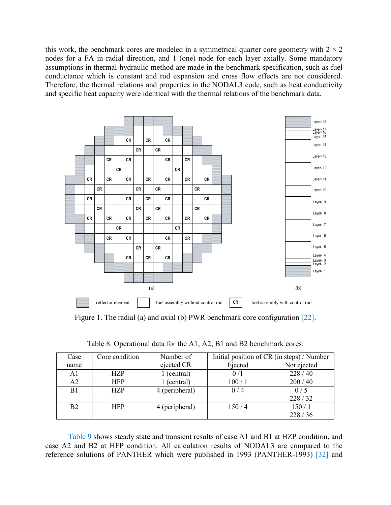this work, the benchmark cores are modeled in a symmetrical quarter core geometry with  $2 \times 2$ nodes for a FA in radial direction, and 1 (one) node for each layer axially. Some mandatory assumptions in thermal-hydraulic method are made in the benchmark specification, such as fuel conductance which is constant and rod expansion and cross flow effects are not considered. Therefore, the thermal relations and properties in the NODAL3 code, such as heat conductivity and specific heat capacity were identical with the thermal relations of the benchmark data.



Figure 1. The radial (a) and axial (b) PWR benchmark core configuration [22].

| Case           | Core condition | Number of      | Initial position of CR (in steps) / Number |             |
|----------------|----------------|----------------|--------------------------------------------|-------------|
| name           |                | ejected CR     | Ejected                                    | Not ejected |
| A1             | <b>HZP</b>     | (central)      | 0/1                                        | 228/40      |
| A2             | <b>HFP</b>     | (central)      | 100/1                                      | 200/40      |
| B1             | <b>HZP</b>     | 4 (peripheral) | 0/4                                        | 0/5         |
|                |                |                |                                            | 228/32      |
| B <sub>2</sub> | <b>HFP</b>     | 4 (peripheral) | 150/4                                      | 150/1       |
|                |                |                |                                            | 228/36      |

Table 8. Operational data for the A1, A2, B1 and B2 benchmark cores.

Table 9 shows steady state and transient results of case A1 and B1 at HZP condition, and case A2 and B2 at HFP condition. All calculation results of NODAL3 are compared to the reference solutions of PANTHER which were published in 1993 (PANTHER-1993) [32] and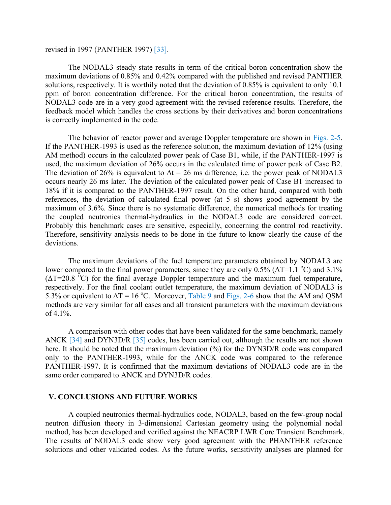### revised in 1997 (PANTHER 1997) [33].

The NODAL3 steady state results in term of the critical boron concentration show the maximum deviations of 0.85% and 0.42% compared with the published and revised PANTHER solutions, respectively. It is worthily noted that the deviation of 0.85% is equivalent to only 10.1 ppm of boron concentration difference. For the critical boron concentration, the results of NODAL3 code are in a very good agreement with the revised reference results. Therefore, the feedback model which handles the cross sections by their derivatives and boron concentrations is correctly implemented in the code.

The behavior of reactor power and average Doppler temperature are shown in Figs. 2-5. If the PANTHER-1993 is used as the reference solution, the maximum deviation of 12% (using AM method) occurs in the calculated power peak of Case B1, while, if the PANTHER-1997 is used, the maximum deviation of 26% occurs in the calculated time of power peak of Case B2. The deviation of 26% is equivalent to  $\Delta t = 26$  ms difference, i.e. the power peak of NODAL3 occurs nearly 26 ms later. The deviation of the calculated power peak of Case B1 increased to 18% if it is compared to the PANTHER-1997 result. On the other hand, compared with both references, the deviation of calculated final power (at 5 s) shows good agreement by the maximum of 3.6%. Since there is no systematic difference, the numerical methods for treating the coupled neutronics thermal-hydraulics in the NODAL3 code are considered correct. Probably this benchmark cases are sensitive, especially, concerning the control rod reactivity. Therefore, sensitivity analysis needs to be done in the future to know clearly the cause of the deviations.

The maximum deviations of the fuel temperature parameters obtained by NODAL3 are lower compared to the final power parameters, since they are only 0.5% ( $\Delta T$ =1.1 °C) and 3.1%  $(\Delta T=20.8 \text{ °C})$  for the final average Doppler temperature and the maximum fuel temperature, respectively. For the final coolant outlet temperature, the maximum deviation of NODAL3 is 5.3% or equivalent to  $\Delta T = 16$  °C. Moreover, Table 9 and Figs. 2-6 show that the AM and QSM methods are very similar for all cases and all transient parameters with the maximum deviations of  $4.1\%$ .

A comparison with other codes that have been validated for the same benchmark, namely ANCK [34] and DYN3D/R [35] codes, has been carried out, although the results are not shown here. It should be noted that the maximum deviation (%) for the DYN3D/R code was compared only to the PANTHER-1993, while for the ANCK code was compared to the reference PANTHER-1997. It is confirmed that the maximum deviations of NODAL3 code are in the same order compared to ANCK and DYN3D/R codes.

### **V. CONCLUSIONS AND FUTURE WORKS**

A coupled neutronics thermal-hydraulics code, NODAL3, based on the few-group nodal neutron diffusion theory in 3-dimensional Cartesian geometry using the polynomial nodal method, has been developed and verified against the NEACRP LWR Core Transient Benchmark. The results of NODAL3 code show very good agreement with the PHANTHER reference solutions and other validated codes. As the future works, sensitivity analyses are planned for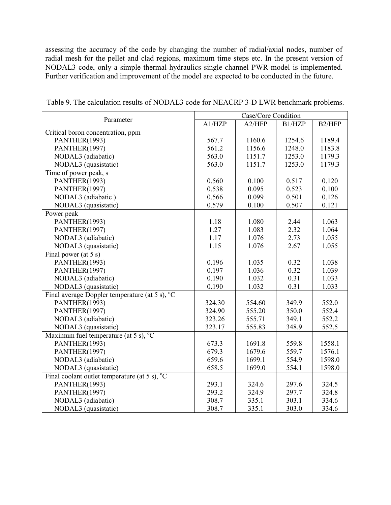assessing the accuracy of the code by changing the number of radial/axial nodes, number of radial mesh for the pellet and clad regions, maximum time steps etc. In the present version of NODAL3 code, only a simple thermal-hydraulics single channel PWR model is implemented. Further verification and improvement of the model are expected to be conducted in the future.

| Parameter                                                | Case/Core Condition |        |        |        |  |
|----------------------------------------------------------|---------------------|--------|--------|--------|--|
|                                                          | A1/HZP              | A2/HFP | B1/HZP | B2/HFP |  |
| Critical boron concentration, ppm                        |                     |        |        |        |  |
| PANTHER(1993)                                            | 567.7               | 1160.6 | 1254.6 | 1189.4 |  |
| PANTHER(1997)                                            | 561.2               | 1156.6 | 1248.0 | 1183.8 |  |
| NODAL3 (adiabatic)                                       | 563.0               | 1151.7 | 1253.0 | 1179.3 |  |
| NODAL3 (quasistatic)                                     | 563.0               | 1151.7 | 1253.0 | 1179.3 |  |
| Time of power peak, s                                    |                     |        |        |        |  |
| PANTHER(1993)                                            | 0.560               | 0.100  | 0.517  | 0.120  |  |
| PANTHER(1997)                                            | 0.538               | 0.095  | 0.523  | 0.100  |  |
| NODAL3 (adiabatic)                                       | 0.566               | 0.099  | 0.501  | 0.126  |  |
| NODAL3 (quasistatic)                                     | 0.579               | 0.100  | 0.507  | 0.121  |  |
| Power peak                                               |                     |        |        |        |  |
| PANTHER(1993)                                            | 1.18                | 1.080  | 2.44   | 1.063  |  |
| PANTHER(1997)                                            | 1.27                | 1.083  | 2.32   | 1.064  |  |
| NODAL3 (adiabatic)                                       | 1.17                | 1.076  | 2.73   | 1.055  |  |
| NODAL3 (quasistatic)                                     | 1.15                | 1.076  | 2.67   | 1.055  |  |
| Final power (at 5 s)                                     |                     |        |        |        |  |
| PANTHER(1993)                                            | 0.196               | 1.035  | 0.32   | 1.038  |  |
| PANTHER(1997)                                            | 0.197               | 1.036  | 0.32   | 1.039  |  |
| NODAL3 (adiabatic)                                       | 0.190               | 1.032  | 0.31   | 1.033  |  |
| NODAL3 (quasistatic)                                     | 0.190               | 1.032  | 0.31   | 1.033  |  |
| Final average Doppler temperature (at 5 s), $^{\circ}$ C |                     |        |        |        |  |
| PANTHER(1993)                                            | 324.30              | 554.60 | 349.9  | 552.0  |  |
| PANTHER(1997)                                            | 324.90              | 555.20 | 350.0  | 552.4  |  |
| NODAL3 (adiabatic)                                       | 323.26              | 555.71 | 349.1  | 552.2  |  |
| NODAL3 (quasistatic)                                     | 323.17              | 555.83 | 348.9  | 552.5  |  |
| Maximum fuel temperature (at 5 s), $^{\circ}C$           |                     |        |        |        |  |
| PANTHER(1993)                                            | 673.3               | 1691.8 | 559.8  | 1558.1 |  |
| PANTHER(1997)                                            | 679.3               | 1679.6 | 559.7  | 1576.1 |  |
| NODAL3 (adiabatic)                                       | 659.6               | 1699.1 | 554.9  | 1598.0 |  |
| NODAL3 (quasistatic)                                     | 658.5               | 1699.0 | 554.1  | 1598.0 |  |
| Final coolant outlet temperature (at 5 s), $^{\circ}$ C  |                     |        |        |        |  |
| PANTHER(1993)                                            | 293.1               | 324.6  | 297.6  | 324.5  |  |
| PANTHER(1997)                                            | 293.2               | 324.9  | 297.7  | 324.8  |  |
| NODAL3 (adiabatic)                                       | 308.7               | 335.1  | 303.1  | 334.6  |  |
| NODAL3 (quasistatic)                                     | 308.7               | 335.1  | 303.0  | 334.6  |  |

Table 9. The calculation results of NODAL3 code for NEACRP 3-D LWR benchmark problems.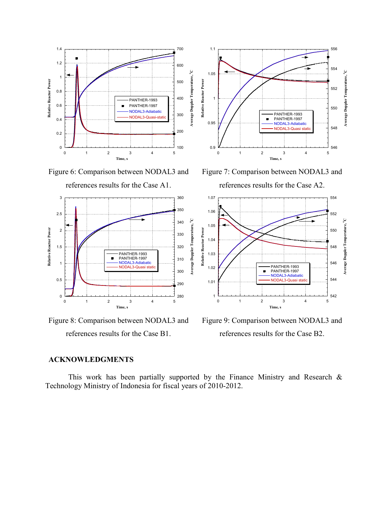

Figure 6: Comparison between NODAL3 and references results for the Case A1.



Figure 8: Comparison between NODAL3 and references results for the Case B1.



Figure 7: Comparison between NODAL3 and references results for the Case A2.



Figure 9: Comparison between NODAL3 and references results for the Case B2.

### **ACKNOWLEDGMENTS**

This work has been partially supported by the Finance Ministry and Research  $\&$ Technology Ministry of Indonesia for fiscal years of 2010-2012.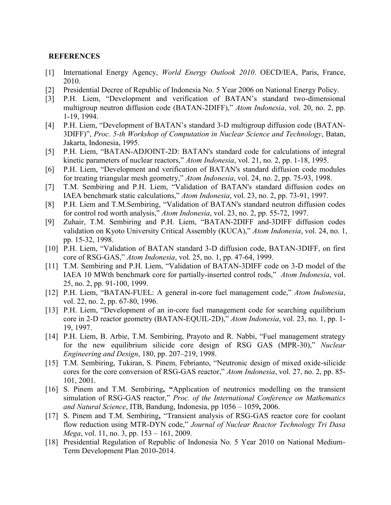### **REFERENCES**

- [1] International Energy Agency, *World Energy Outlook 2010*. OECD/IEA, Paris, France, 2010.
- [2] Presidential Decree of Republic of Indonesia No. 5 Year 2006 on National Energy Policy.
- [3] P.H. Liem, "Development and verification of BATAN's standard two-dimensional multigroup neutron diffusion code (BATAN-2DIFF)," *Atom Indonesia*, vol. 20, no. 2, pp. 1-19, 1994.
- [4] P.H. Liem, "Development of BATAN's standard 3-D multigroup diffusion code (BATAN-3DIFF)", *Proc. 5-th Workshop of Computation in Nuclear Science and Technology*, Batan, Jakarta, Indonesia, 1995.
- [5] P.H. Liem, "BATAN-ADJOINT-2D: BATAN's standard code for calculations of integral kinetic parameters of nuclear reactors," *Atom Indonesia*, vol. 21, no. 2, pp. 1-18, 1995.
- [6] P.H. Liem, "Development and verification of BATAN's standard diffusion code modules for treating triangular mesh geometry," *Atom Indonesia*, vol. 24, no. 2, pp. 75-93, 1998.
- [7] T.M. Sembiring and P.H. Liem, "Validation of BATAN's standard diffusion codes on IAEA benchmark static calculations," *Atom Indonesia*, vol. 23, no. 2, pp. 73-91, 1997.
- [8] P.H. Liem and T.M.Sembiring, "Validation of BATAN's standard neutron diffusion codes for control rod worth analysis," *Atom Indonesia*, vol. 23, no. 2, pp. 55-72, 1997.
- [9] Zuhair, T.M. Sembiring and P.H. Liem, "BATAN-2DIFF and-3DIFF diffusion codes validation on Kyoto University Critical Assembly (KUCA)," *Atom Indonesia*, vol. 24, no. 1, pp. 15-32, 1998.
- [10] P.H. Liem, "Validation of BATAN standard 3-D diffusion code, BATAN-3DIFF, on first core of RSG-GAS," *Atom Indonesia*, vol. 25, no. 1, pp. 47-64, 1999.
- [11] T.M. Sembiring and P.H. Liem, "Validation of BATAN-3DIFF code on 3-D model of the IAEA 10 MWth benchmark core for partially-inserted control rods," *Atom Indonesia*, vol. 25, no. 2, pp. 91-100, 1999.
- [12] P.H. Liem, "BATAN-FUEL: A general in-core fuel management code," *Atom Indonesia*, vol. 22, no. 2, pp. 67-80, 1996.
- [13] P.H. Liem, "Development of an in-core fuel management code for searching equilibrium core in 2-D reactor geometry (BATAN-EQUIL-2D)," *Atom Indonesia*, vol. 23, no. 1, pp. 1- 19, 1997.
- [14] P.H. Liem, B. Arbie, T.M. Sembiring, Prayoto and R. Nabbi, "Fuel management strategy for the new equilibrium silicide core design of RSG GAS (MPR-30)," *Nuclear Engineering and Design*, 180, pp. 207–219, 1998.
- [15] T.M. Sembiring, Tukiran, S. Pinem, Febrianto, "Neutronic design of mixed oxide-silicide cores for the core conversion of RSG-GAS reactor," *Atom Indonesia*, vol. 27, no. 2, pp. 85- 101, 2001.
- [16] S. Pinem and T.M. Sembiring**, "**Application of neutronics modelling on the transient simulation of RSG-GAS reactor," *Proc. of the International Conference on Mathematics and Natural Science*, ITB, Bandung, Indonesia, pp 1056 – 1059**,** 2006.
- [17] S. Pinem and T.M. Sembiring, "Transient analysis of RSG-GAS reactor core for coolant flow reduction using MTR-DYN code," *Journal of Nuclear Reactor Technology Tri Dasa Mega*, vol. 11, no. 3, pp. 153 – 161, 2009.
- [18] Presidential Regulation of Republic of Indonesia No. 5 Year 2010 on National Medium-Term Development Plan 2010-2014.